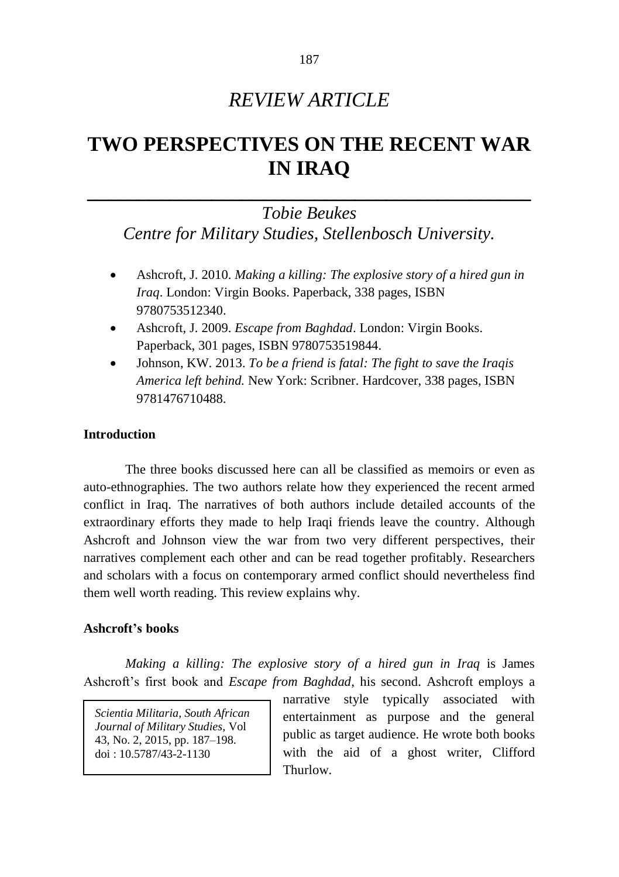# *REVIEW ARTICLE*

# **TWO PERSPECTIVES ON THE RECENT WAR IN IRAQ**

# **\_\_\_\_\_\_\_\_\_\_\_\_\_\_\_\_\_\_\_\_\_\_\_\_\_\_\_\_\_\_\_\_\_\_\_\_\_\_\_\_\_\_\_** *Tobie Beukes*

*Centre for Military Studies, Stellenbosch University.*

- Ashcroft, J. 2010. *Making a killing: The explosive story of a hired gun in Iraq*. London: Virgin Books. Paperback, 338 pages, ISBN 9780753512340.
- Ashcroft, J. 2009. *Escape from Baghdad*. London: Virgin Books. Paperback, 301 pages, ISBN 9780753519844.
- Johnson, KW. 2013. *To be a friend is fatal: The fight to save the Iraqis America left behind.* New York: Scribner. Hardcover, 338 pages, ISBN 9781476710488.

# **Introduction**

The three books discussed here can all be classified as memoirs or even as auto-ethnographies. The two authors relate how they experienced the recent armed conflict in Iraq. The narratives of both authors include detailed accounts of the extraordinary efforts they made to help Iraqi friends leave the country. Although Ashcroft and Johnson view the war from two very different perspectives, their narratives complement each other and can be read together profitably. Researchers and scholars with a focus on contemporary armed conflict should nevertheless find them well worth reading. This review explains why.

#### **Ashcroft's books**

*Making a killing: The explosive story of a hired gun in Iraq* is James Ashcroft's first book and *Escape from Baghdad,* his second. Ashcroft employs a

*Scientia Militaria, South African Journal of Military Studies,* Vol 43, No. 2, 2015, pp. 187–198. doi : 10.5787/43-2-1130

narrative style typically associated with entertainment as purpose and the general public as target audience. He wrote both books with the aid of a ghost writer, Clifford Thurlow.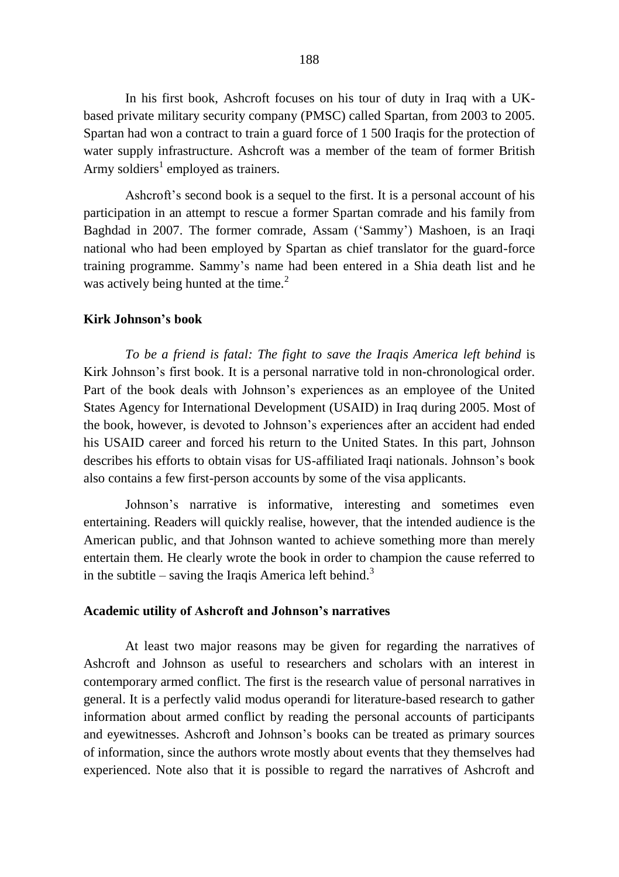In his first book, Ashcroft focuses on his tour of duty in Iraq with a UKbased private military security company (PMSC) called Spartan, from 2003 to 2005. Spartan had won a contract to train a guard force of 1 500 Iraqis for the protection of water supply infrastructure. Ashcroft was a member of the team of former British Army soldiers<sup>1</sup> employed as trainers.

Ashcroft's second book is a sequel to the first. It is a personal account of his participation in an attempt to rescue a former Spartan comrade and his family from Baghdad in 2007. The former comrade, Assam ('Sammy') Mashoen, is an Iraqi national who had been employed by Spartan as chief translator for the guard-force training programme. Sammy's name had been entered in a Shia death list and he was actively being hunted at the time.<sup>2</sup>

## **Kirk Johnson's book**

*To be a friend is fatal: The fight to save the Iraqis America left behind* is Kirk Johnson's first book. It is a personal narrative told in non-chronological order. Part of the book deals with Johnson's experiences as an employee of the United States Agency for International Development (USAID) in Iraq during 2005. Most of the book, however, is devoted to Johnson's experiences after an accident had ended his USAID career and forced his return to the United States. In this part, Johnson describes his efforts to obtain visas for US-affiliated Iraqi nationals. Johnson's book also contains a few first-person accounts by some of the visa applicants.

Johnson's narrative is informative, interesting and sometimes even entertaining. Readers will quickly realise, however, that the intended audience is the American public, and that Johnson wanted to achieve something more than merely entertain them. He clearly wrote the book in order to champion the cause referred to in the subtitle – saving the Iraqis America left behind.<sup>3</sup>

#### **Academic utility of Ashcroft and Johnson's narratives**

At least two major reasons may be given for regarding the narratives of Ashcroft and Johnson as useful to researchers and scholars with an interest in contemporary armed conflict. The first is the research value of personal narratives in general. It is a perfectly valid modus operandi for literature-based research to gather information about armed conflict by reading the personal accounts of participants and eyewitnesses. Ashcroft and Johnson's books can be treated as primary sources of information, since the authors wrote mostly about events that they themselves had experienced. Note also that it is possible to regard the narratives of Ashcroft and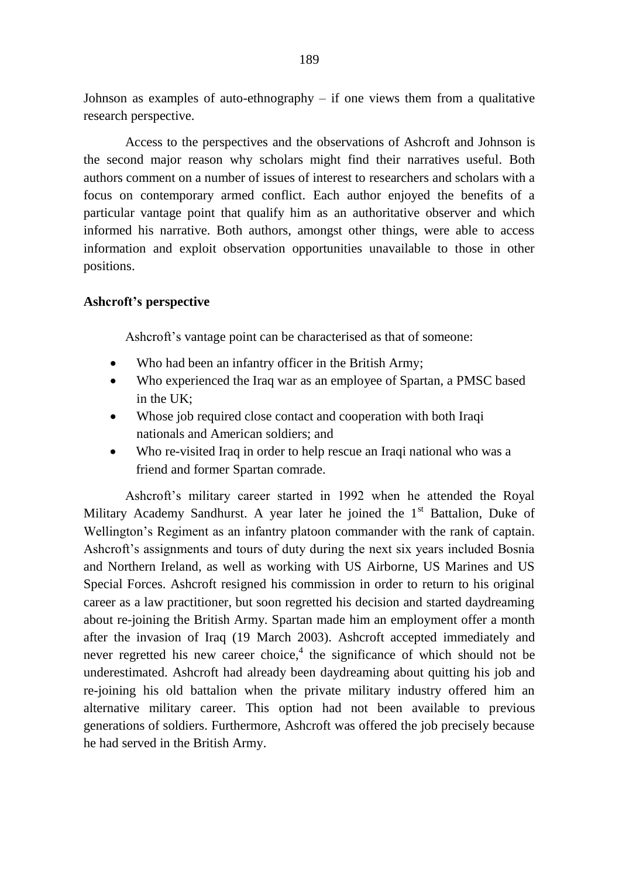Johnson as examples of auto-ethnography  $-$  if one views them from a qualitative research perspective.

Access to the perspectives and the observations of Ashcroft and Johnson is the second major reason why scholars might find their narratives useful. Both authors comment on a number of issues of interest to researchers and scholars with a focus on contemporary armed conflict. Each author enjoyed the benefits of a particular vantage point that qualify him as an authoritative observer and which informed his narrative. Both authors, amongst other things, were able to access information and exploit observation opportunities unavailable to those in other positions.

# **Ashcroft's perspective**

Ashcroft's vantage point can be characterised as that of someone:

- Who had been an infantry officer in the British Army;
- Who experienced the Iraq war as an employee of Spartan, a PMSC based in the UK;
- Whose job required close contact and cooperation with both Iraqi nationals and American soldiers; and
- Who re-visited Iraq in order to help rescue an Iraqi national who was a friend and former Spartan comrade.

Ashcroft's military career started in 1992 when he attended the Royal Military Academy Sandhurst. A year later he joined the  $1<sup>st</sup>$  Battalion, Duke of Wellington's Regiment as an infantry platoon commander with the rank of captain. Ashcroft's assignments and tours of duty during the next six years included Bosnia and Northern Ireland, as well as working with US Airborne, US Marines and US Special Forces. Ashcroft resigned his commission in order to return to his original career as a law practitioner, but soon regretted his decision and started daydreaming about re-joining the British Army. Spartan made him an employment offer a month after the invasion of Iraq (19 March 2003). Ashcroft accepted immediately and never regretted his new career choice, 4 the significance of which should not be underestimated. Ashcroft had already been daydreaming about quitting his job and re-joining his old battalion when the private military industry offered him an alternative military career. This option had not been available to previous generations of soldiers. Furthermore, Ashcroft was offered the job precisely because he had served in the British Army.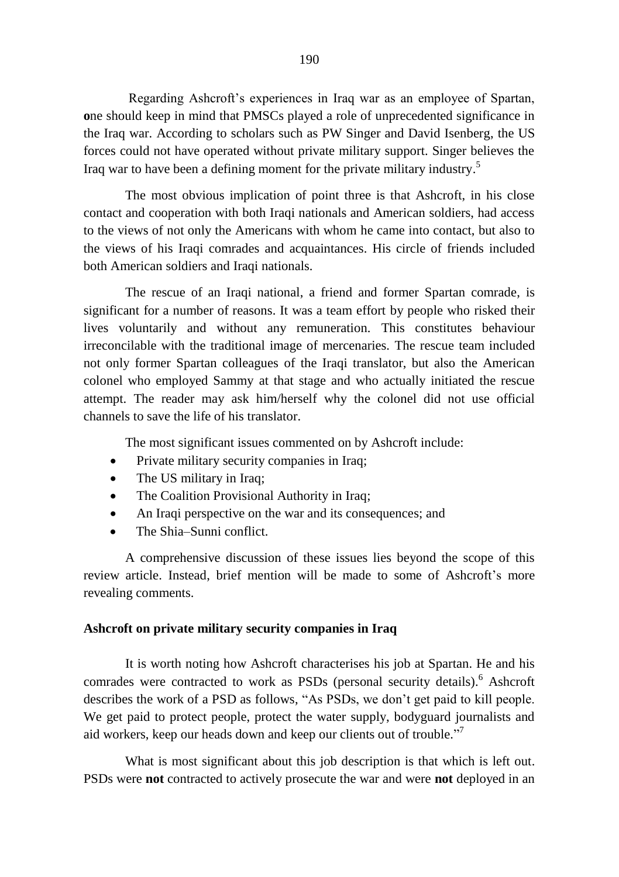Regarding Ashcroft's experiences in Iraq war as an employee of Spartan, **o**ne should keep in mind that PMSCs played a role of unprecedented significance in the Iraq war. According to scholars such as PW Singer and David Isenberg, the US forces could not have operated without private military support. Singer believes the Iraq war to have been a defining moment for the private military industry. 5

The most obvious implication of point three is that Ashcroft, in his close contact and cooperation with both Iraqi nationals and American soldiers, had access to the views of not only the Americans with whom he came into contact, but also to the views of his Iraqi comrades and acquaintances. His circle of friends included both American soldiers and Iraqi nationals.

The rescue of an Iraqi national, a friend and former Spartan comrade, is significant for a number of reasons. It was a team effort by people who risked their lives voluntarily and without any remuneration. This constitutes behaviour irreconcilable with the traditional image of mercenaries. The rescue team included not only former Spartan colleagues of the Iraqi translator, but also the American colonel who employed Sammy at that stage and who actually initiated the rescue attempt. The reader may ask him/herself why the colonel did not use official channels to save the life of his translator.

The most significant issues commented on by Ashcroft include:

- Private military security companies in Iraq;
- The US military in Iraq;
- The Coalition Provisional Authority in Iraq;
- An Iraqi perspective on the war and its consequences; and
- The Shia–Sunni conflict.

A comprehensive discussion of these issues lies beyond the scope of this review article. Instead, brief mention will be made to some of Ashcroft's more revealing comments.

## **Ashcroft on private military security companies in Iraq**

It is worth noting how Ashcroft characterises his job at Spartan. He and his comrades were contracted to work as PSDs (personal security details).<sup>6</sup> Ashcroft describes the work of a PSD as follows, "As PSDs, we don't get paid to kill people. We get paid to protect people, protect the water supply, bodyguard journalists and aid workers, keep our heads down and keep our clients out of trouble."

What is most significant about this job description is that which is left out. PSDs were **not** contracted to actively prosecute the war and were **not** deployed in an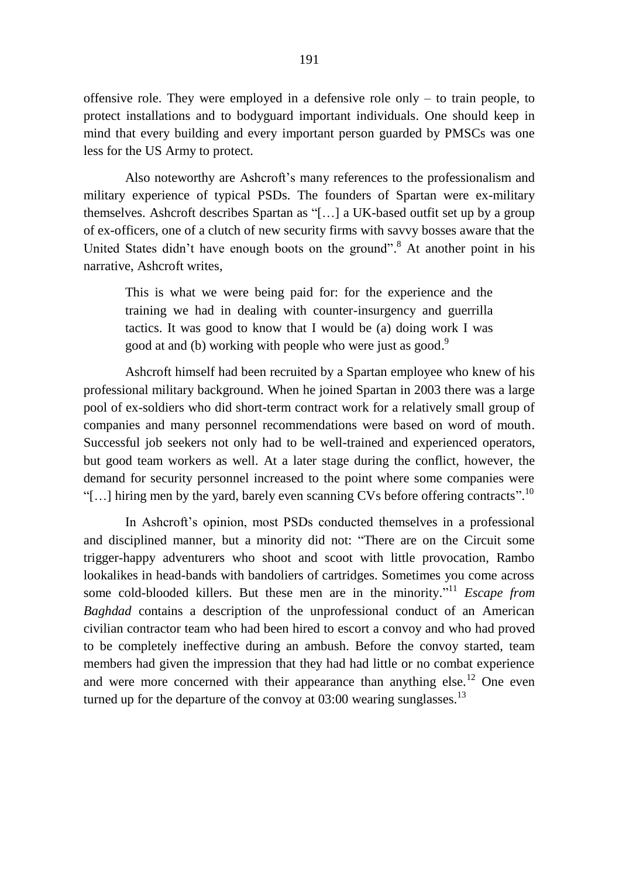offensive role. They were employed in a defensive role only – to train people, to protect installations and to bodyguard important individuals. One should keep in mind that every building and every important person guarded by PMSCs was one less for the US Army to protect.

Also noteworthy are Ashcroft's many references to the professionalism and military experience of typical PSDs. The founders of Spartan were ex-military themselves. Ashcroft describes Spartan as "[…] a UK-based outfit set up by a group of ex-officers, one of a clutch of new security firms with savvy bosses aware that the United States didn't have enough boots on the ground".<sup>8</sup> At another point in his narrative, Ashcroft writes,

This is what we were being paid for: for the experience and the training we had in dealing with counter-insurgency and guerrilla tactics. It was good to know that I would be (a) doing work I was good at and (b) working with people who were just as good.<sup>9</sup>

Ashcroft himself had been recruited by a Spartan employee who knew of his professional military background. When he joined Spartan in 2003 there was a large pool of ex-soldiers who did short-term contract work for a relatively small group of companies and many personnel recommendations were based on word of mouth. Successful job seekers not only had to be well-trained and experienced operators, but good team workers as well. At a later stage during the conflict, however, the demand for security personnel increased to the point where some companies were "[...] hiring men by the yard, barely even scanning CVs before offering contracts".<sup>10</sup>

In Ashcroft's opinion, most PSDs conducted themselves in a professional and disciplined manner, but a minority did not: "There are on the Circuit some trigger-happy adventurers who shoot and scoot with little provocation, Rambo lookalikes in head-bands with bandoliers of cartridges. Sometimes you come across some cold-blooded killers. But these men are in the minority." <sup>11</sup> *Escape from Baghdad* contains a description of the unprofessional conduct of an American civilian contractor team who had been hired to escort a convoy and who had proved to be completely ineffective during an ambush. Before the convoy started, team members had given the impression that they had had little or no combat experience and were more concerned with their appearance than anything else.<sup>12</sup> One even turned up for the departure of the convoy at  $03:00$  wearing sunglasses.<sup>13</sup>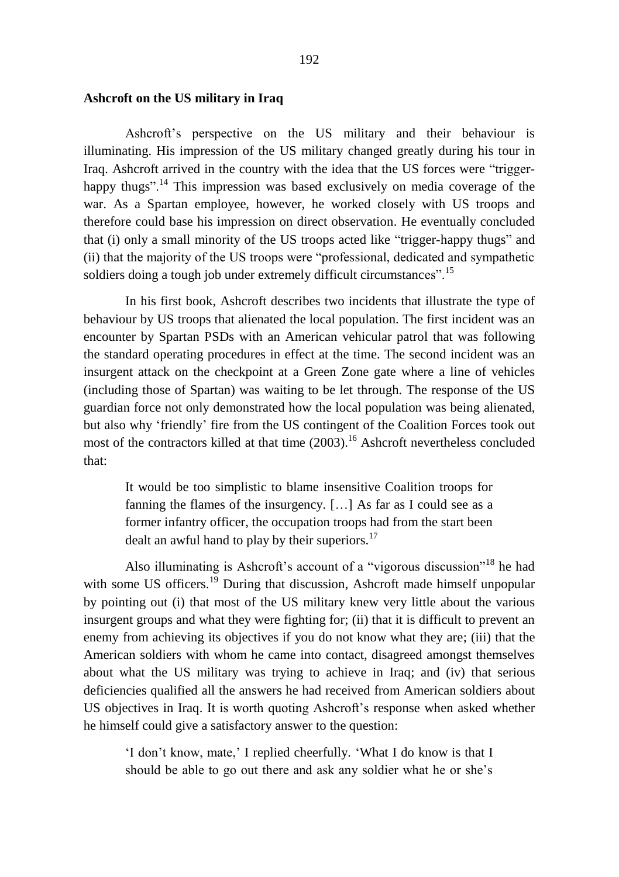# **Ashcroft on the US military in Iraq**

Ashcroft's perspective on the US military and their behaviour is illuminating. His impression of the US military changed greatly during his tour in Iraq. Ashcroft arrived in the country with the idea that the US forces were "triggerhappy thugs".<sup>14</sup> This impression was based exclusively on media coverage of the war. As a Spartan employee, however, he worked closely with US troops and therefore could base his impression on direct observation. He eventually concluded that (i) only a small minority of the US troops acted like "trigger-happy thugs" and (ii) that the majority of the US troops were "professional, dedicated and sympathetic soldiers doing a tough job under extremely difficult circumstances".<sup>15</sup>

In his first book, Ashcroft describes two incidents that illustrate the type of behaviour by US troops that alienated the local population. The first incident was an encounter by Spartan PSDs with an American vehicular patrol that was following the standard operating procedures in effect at the time. The second incident was an insurgent attack on the checkpoint at a Green Zone gate where a line of vehicles (including those of Spartan) was waiting to be let through. The response of the US guardian force not only demonstrated how the local population was being alienated, but also why 'friendly' fire from the US contingent of the Coalition Forces took out most of the contractors killed at that time  $(2003)$ .<sup>16</sup> Ashcroft nevertheless concluded that:

It would be too simplistic to blame insensitive Coalition troops for fanning the flames of the insurgency. […] As far as I could see as a former infantry officer, the occupation troops had from the start been dealt an awful hand to play by their superiors. $^{17}$ 

Also illuminating is Ashcroft's account of a "vigorous discussion"<sup>18</sup> he had with some US officers.<sup>19</sup> During that discussion, Ashcroft made himself unpopular by pointing out (i) that most of the US military knew very little about the various insurgent groups and what they were fighting for; (ii) that it is difficult to prevent an enemy from achieving its objectives if you do not know what they are; (iii) that the American soldiers with whom he came into contact, disagreed amongst themselves about what the US military was trying to achieve in Iraq; and (iv) that serious deficiencies qualified all the answers he had received from American soldiers about US objectives in Iraq. It is worth quoting Ashcroft's response when asked whether he himself could give a satisfactory answer to the question:

'I don't know, mate,' I replied cheerfully. 'What I do know is that I should be able to go out there and ask any soldier what he or she's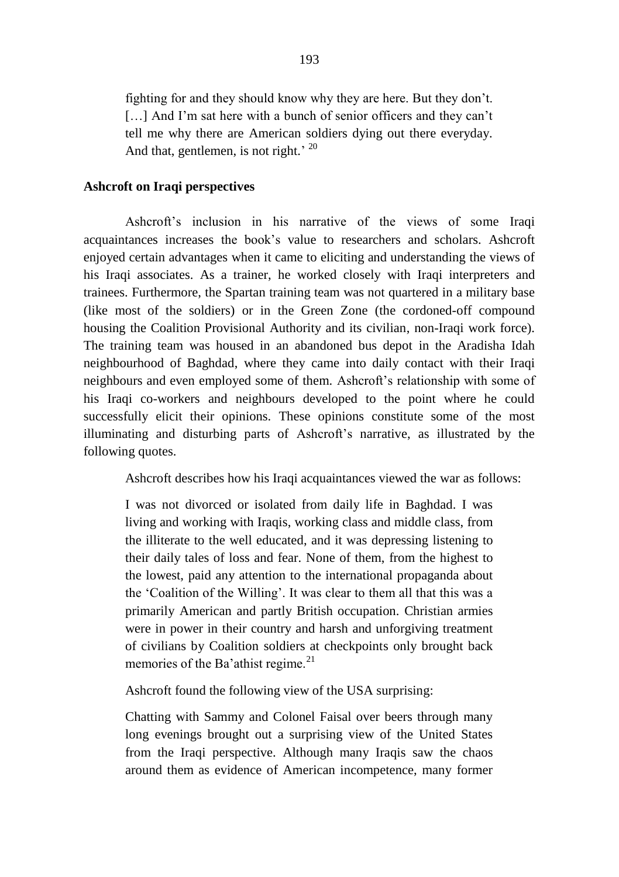fighting for and they should know why they are here. But they don't. [...] And I'm sat here with a bunch of senior officers and they can't tell me why there are American soldiers dying out there everyday. And that, gentlemen, is not right.<sup> $, 20$ </sup>

### **Ashcroft on Iraqi perspectives**

Ashcroft's inclusion in his narrative of the views of some Iraqi acquaintances increases the book's value to researchers and scholars. Ashcroft enjoyed certain advantages when it came to eliciting and understanding the views of his Iraqi associates. As a trainer, he worked closely with Iraqi interpreters and trainees. Furthermore, the Spartan training team was not quartered in a military base (like most of the soldiers) or in the Green Zone (the cordoned-off compound housing the Coalition Provisional Authority and its civilian, non-Iraqi work force). The training team was housed in an abandoned bus depot in the Aradisha Idah neighbourhood of Baghdad, where they came into daily contact with their Iraqi neighbours and even employed some of them. Ashcroft's relationship with some of his Iraqi co-workers and neighbours developed to the point where he could successfully elicit their opinions. These opinions constitute some of the most illuminating and disturbing parts of Ashcroft's narrative, as illustrated by the following quotes.

Ashcroft describes how his Iraqi acquaintances viewed the war as follows:

I was not divorced or isolated from daily life in Baghdad. I was living and working with Iraqis, working class and middle class, from the illiterate to the well educated, and it was depressing listening to their daily tales of loss and fear. None of them, from the highest to the lowest, paid any attention to the international propaganda about the 'Coalition of the Willing'. It was clear to them all that this was a primarily American and partly British occupation. Christian armies were in power in their country and harsh and unforgiving treatment of civilians by Coalition soldiers at checkpoints only brought back memories of the Ba'athist regime.<sup>21</sup>

Ashcroft found the following view of the USA surprising:

Chatting with Sammy and Colonel Faisal over beers through many long evenings brought out a surprising view of the United States from the Iraqi perspective. Although many Iraqis saw the chaos around them as evidence of American incompetence, many former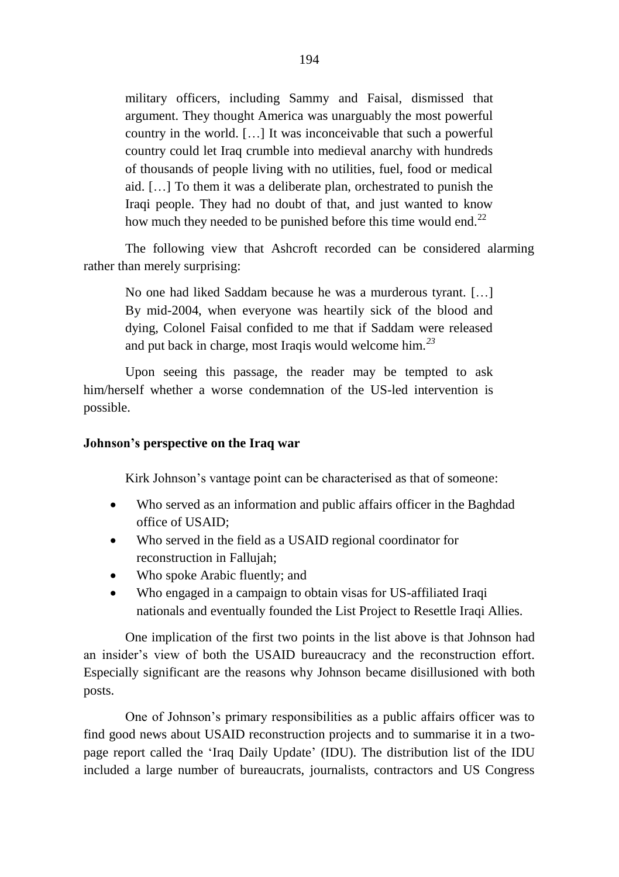military officers, including Sammy and Faisal, dismissed that argument. They thought America was unarguably the most powerful country in the world. […] It was inconceivable that such a powerful country could let Iraq crumble into medieval anarchy with hundreds of thousands of people living with no utilities, fuel, food or medical aid. […] To them it was a deliberate plan, orchestrated to punish the Iraqi people. They had no doubt of that, and just wanted to know how much they needed to be punished before this time would end.<sup>22</sup>

The following view that Ashcroft recorded can be considered alarming rather than merely surprising:

No one had liked Saddam because he was a murderous tyrant. […] By mid-2004, when everyone was heartily sick of the blood and dying, Colonel Faisal confided to me that if Saddam were released and put back in charge, most Iraqis would welcome him*. 23*

Upon seeing this passage, the reader may be tempted to ask him/herself whether a worse condemnation of the US-led intervention is possible.

## **Johnson's perspective on the Iraq war**

Kirk Johnson's vantage point can be characterised as that of someone:

- Who served as an information and public affairs officer in the Baghdad office of USAID;
- Who served in the field as a USAID regional coordinator for reconstruction in Fallujah;
- Who spoke Arabic fluently; and
- Who engaged in a campaign to obtain visas for US-affiliated Iraqi nationals and eventually founded the List Project to Resettle Iraqi Allies.

One implication of the first two points in the list above is that Johnson had an insider's view of both the USAID bureaucracy and the reconstruction effort. Especially significant are the reasons why Johnson became disillusioned with both posts.

One of Johnson's primary responsibilities as a public affairs officer was to find good news about USAID reconstruction projects and to summarise it in a twopage report called the 'Iraq Daily Update' (IDU). The distribution list of the IDU included a large number of bureaucrats, journalists, contractors and US Congress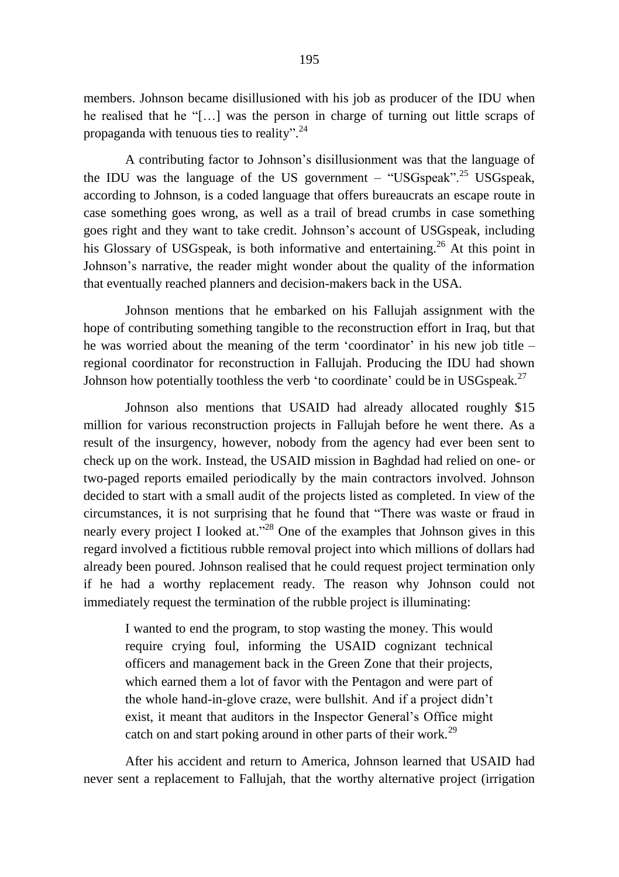members. Johnson became disillusioned with his job as producer of the IDU when he realised that he "[…] was the person in charge of turning out little scraps of propaganda with tenuous ties to reality".<sup>24</sup>

A contributing factor to Johnson's disillusionment was that the language of the IDU was the language of the US government – "USGspeak".<sup>25</sup> USGspeak, according to Johnson, is a coded language that offers bureaucrats an escape route in case something goes wrong, as well as a trail of bread crumbs in case something goes right and they want to take credit. Johnson's account of USGspeak, including his Glossary of USGspeak, is both informative and entertaining.<sup>26</sup> At this point in Johnson's narrative, the reader might wonder about the quality of the information that eventually reached planners and decision-makers back in the USA.

Johnson mentions that he embarked on his Fallujah assignment with the hope of contributing something tangible to the reconstruction effort in Iraq, but that he was worried about the meaning of the term 'coordinator' in his new job title – regional coordinator for reconstruction in Fallujah. Producing the IDU had shown Johnson how potentially toothless the verb 'to coordinate' could be in USGspeak.<sup>27</sup>

Johnson also mentions that USAID had already allocated roughly \$15 million for various reconstruction projects in Fallujah before he went there. As a result of the insurgency, however, nobody from the agency had ever been sent to check up on the work. Instead, the USAID mission in Baghdad had relied on one- or two-paged reports emailed periodically by the main contractors involved. Johnson decided to start with a small audit of the projects listed as completed. In view of the circumstances, it is not surprising that he found that "There was waste or fraud in nearly every project I looked at."<sup>28</sup> One of the examples that Johnson gives in this regard involved a fictitious rubble removal project into which millions of dollars had already been poured. Johnson realised that he could request project termination only if he had a worthy replacement ready. The reason why Johnson could not immediately request the termination of the rubble project is illuminating:

I wanted to end the program, to stop wasting the money. This would require crying foul, informing the USAID cognizant technical officers and management back in the Green Zone that their projects, which earned them a lot of favor with the Pentagon and were part of the whole hand-in-glove craze, were bullshit. And if a project didn't exist, it meant that auditors in the Inspector General's Office might catch on and start poking around in other parts of their work.<sup>29</sup>

After his accident and return to America, Johnson learned that USAID had never sent a replacement to Fallujah, that the worthy alternative project (irrigation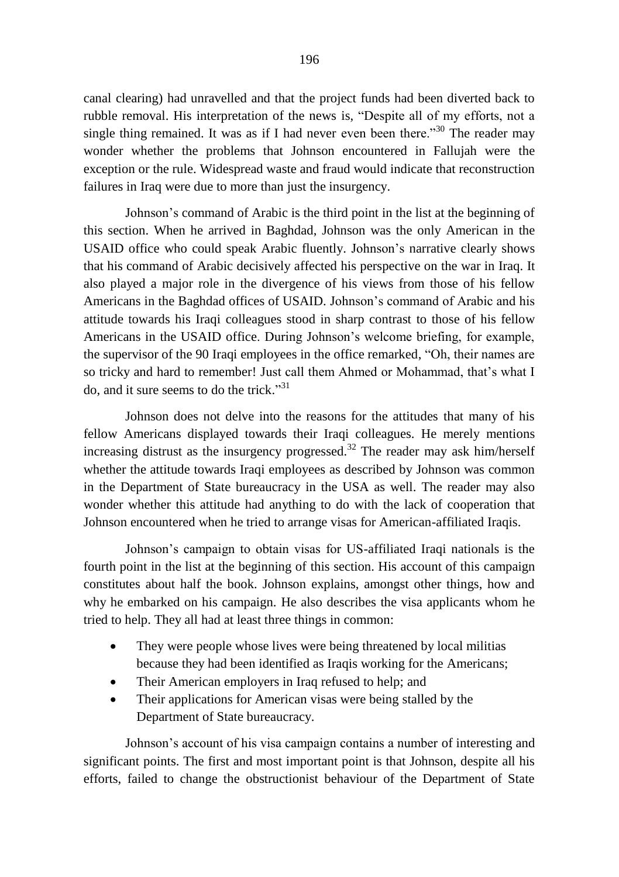canal clearing) had unravelled and that the project funds had been diverted back to rubble removal. His interpretation of the news is, "Despite all of my efforts, not a single thing remained. It was as if I had never even been there."<sup>30</sup> The reader may wonder whether the problems that Johnson encountered in Fallujah were the exception or the rule. Widespread waste and fraud would indicate that reconstruction failures in Iraq were due to more than just the insurgency.

Johnson's command of Arabic is the third point in the list at the beginning of this section. When he arrived in Baghdad, Johnson was the only American in the USAID office who could speak Arabic fluently. Johnson's narrative clearly shows that his command of Arabic decisively affected his perspective on the war in Iraq. It also played a major role in the divergence of his views from those of his fellow Americans in the Baghdad offices of USAID. Johnson's command of Arabic and his attitude towards his Iraqi colleagues stood in sharp contrast to those of his fellow Americans in the USAID office. During Johnson's welcome briefing, for example, the supervisor of the 90 Iraqi employees in the office remarked, "Oh, their names are so tricky and hard to remember! Just call them Ahmed or Mohammad, that's what I do, and it sure seems to do the trick." 31

Johnson does not delve into the reasons for the attitudes that many of his fellow Americans displayed towards their Iraqi colleagues. He merely mentions increasing distrust as the insurgency progressed.<sup>32</sup> The reader may ask him/herself whether the attitude towards Iraqi employees as described by Johnson was common in the Department of State bureaucracy in the USA as well. The reader may also wonder whether this attitude had anything to do with the lack of cooperation that Johnson encountered when he tried to arrange visas for American-affiliated Iraqis.

Johnson's campaign to obtain visas for US-affiliated Iraqi nationals is the fourth point in the list at the beginning of this section. His account of this campaign constitutes about half the book. Johnson explains, amongst other things, how and why he embarked on his campaign. He also describes the visa applicants whom he tried to help. They all had at least three things in common:

- They were people whose lives were being threatened by local militias because they had been identified as Iraqis working for the Americans;
- Their American employers in Iraq refused to help; and
- Their applications for American visas were being stalled by the Department of State bureaucracy.

Johnson's account of his visa campaign contains a number of interesting and significant points. The first and most important point is that Johnson, despite all his efforts, failed to change the obstructionist behaviour of the Department of State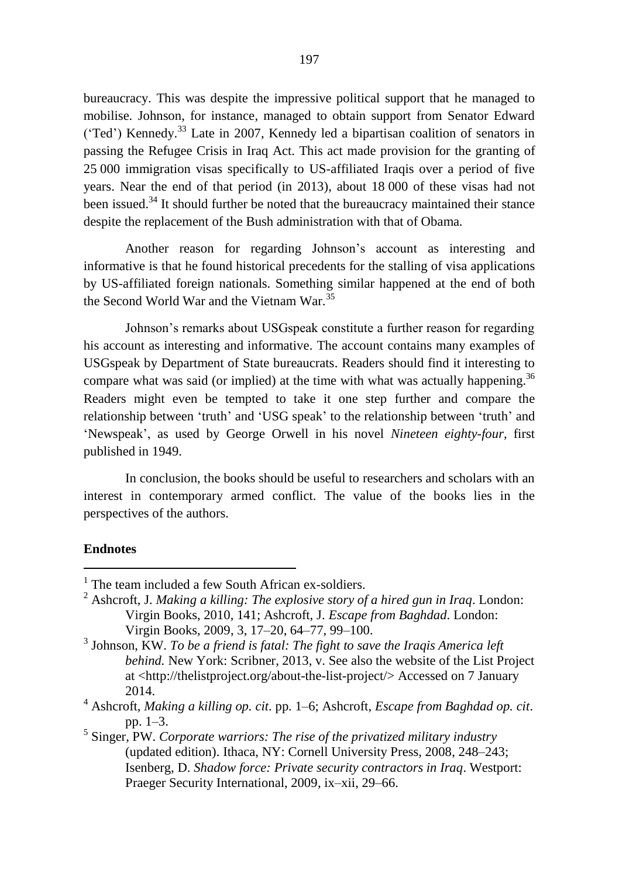bureaucracy. This was despite the impressive political support that he managed to mobilise. Johnson, for instance, managed to obtain support from Senator Edward ('Ted') Kennedy. <sup>33</sup> Late in 2007, Kennedy led a bipartisan coalition of senators in passing the Refugee Crisis in Iraq Act. This act made provision for the granting of 25 000 immigration visas specifically to US-affiliated Iraqis over a period of five years. Near the end of that period (in 2013), about 18 000 of these visas had not been issued.<sup>34</sup> It should further be noted that the bureaucracy maintained their stance despite the replacement of the Bush administration with that of Obama.

Another reason for regarding Johnson's account as interesting and informative is that he found historical precedents for the stalling of visa applications by US-affiliated foreign nationals. Something similar happened at the end of both the Second World War and the Vietnam War.<sup>35</sup>

Johnson's remarks about USGspeak constitute a further reason for regarding his account as interesting and informative. The account contains many examples of USGspeak by Department of State bureaucrats. Readers should find it interesting to compare what was said (or implied) at the time with what was actually happening.<sup>36</sup> Readers might even be tempted to take it one step further and compare the relationship between 'truth' and 'USG speak' to the relationship between 'truth' and 'Newspeak', as used by George Orwell in his novel *Nineteen eighty-four*, first published in 1949.

In conclusion, the books should be useful to researchers and scholars with an interest in contemporary armed conflict. The value of the books lies in the perspectives of the authors.

### **Endnotes**

<u>.</u>

5 Singer, PW. *Corporate warriors: The rise of the privatized military industry* (updated edition). Ithaca, NY: Cornell University Press, 2008, 248–243; Isenberg, D. *Shadow force: Private security contractors in Iraq*. Westport: Praeger Security International, 2009, ix–xii, 29–66.

 $<sup>1</sup>$  The team included a few South African ex-soldiers.</sup>

<sup>2</sup> Ashcroft, J. *Making a killing: The explosive story of a hired gun in Iraq*. London: Virgin Books, 2010, 141; Ashcroft, J. *Escape from Baghdad*. London: Virgin Books, 2009, 3, 17–20, 64–77, 99–100.

<sup>3</sup> Johnson, KW. *To be a friend is fatal: The fight to save the Iraqis America left behind.* New York: Scribner, 2013, v. See also the website of the List Project at [<http://thelistproject.org/about-the-list-project/>](http://thelistproject.org/about-the-list-project/) Accessed on 7 January 2014.

<sup>4</sup> Ashcroft, *Making a killing op. cit*. pp. 1–6; Ashcroft, *Escape from Baghdad op. cit*. pp. 1–3.